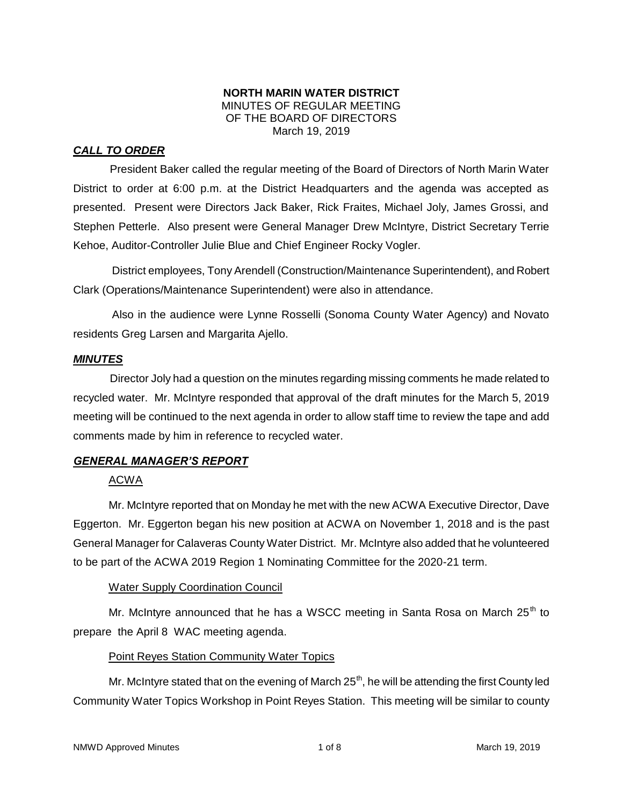### **NORTH MARIN WATER DISTRICT** MINUTES OF REGULAR MEETING OF THE BOARD OF DIRECTORS March 19, 2019

# *CALL TO ORDER*

President Baker called the regular meeting of the Board of Directors of North Marin Water District to order at 6:00 p.m. at the District Headquarters and the agenda was accepted as presented. Present were Directors Jack Baker, Rick Fraites, Michael Joly, James Grossi, and Stephen Petterle. Also present were General Manager Drew McIntyre, District Secretary Terrie Kehoe, Auditor-Controller Julie Blue and Chief Engineer Rocky Vogler.

District employees, Tony Arendell (Construction/Maintenance Superintendent), and Robert Clark (Operations/Maintenance Superintendent) were also in attendance.

Also in the audience were Lynne Rosselli (Sonoma County Water Agency) and Novato residents Greg Larsen and Margarita Ajello.

### *MINUTES*

Director Joly had a question on the minutes regarding missing comments he made related to recycled water. Mr. McIntyre responded that approval of the draft minutes for the March 5, 2019 meeting will be continued to the next agenda in order to allow staff time to review the tape and add comments made by him in reference to recycled water.

# *GENERAL MANAGER'S REPORT*

# ACWA

Mr. McIntyre reported that on Monday he met with the new ACWA Executive Director, Dave Eggerton. Mr. Eggerton began his new position at ACWA on November 1, 2018 and is the past General Manager for Calaveras County Water District. Mr. McIntyre also added that he volunteered to be part of the ACWA 2019 Region 1 Nominating Committee for the 2020-21 term.

# Water Supply Coordination Council

Mr. McIntyre announced that he has a WSCC meeting in Santa Rosa on March 25<sup>th</sup> to prepare the April 8 WAC meeting agenda.

# Point Reyes Station Community Water Topics

Mr. McIntyre stated that on the evening of March 25<sup>th</sup>, he will be attending the first County led Community Water Topics Workshop in Point Reyes Station. This meeting will be similar to county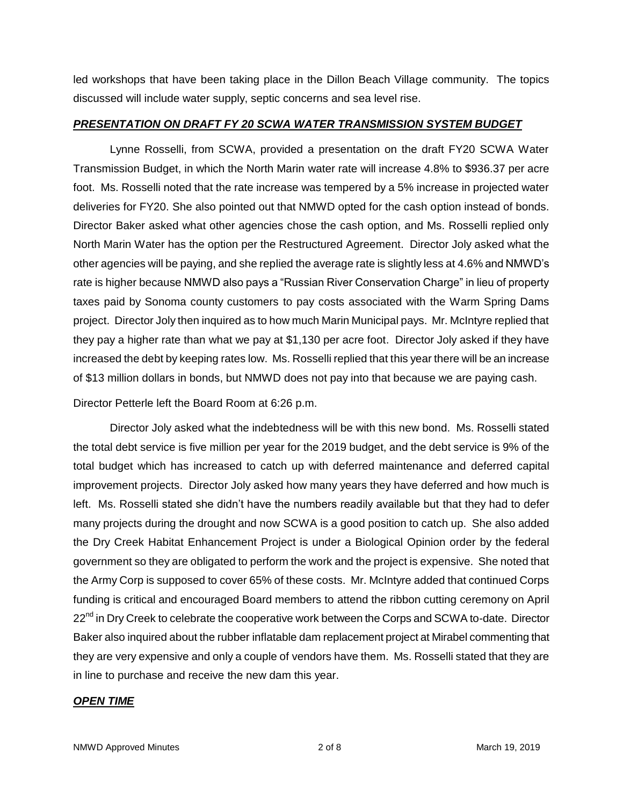led workshops that have been taking place in the Dillon Beach Village community. The topics discussed will include water supply, septic concerns and sea level rise.

### *PRESENTATION ON DRAFT FY 20 SCWA WATER TRANSMISSION SYSTEM BUDGET*

Lynne Rosselli, from SCWA, provided a presentation on the draft FY20 SCWA Water Transmission Budget, in which the North Marin water rate will increase 4.8% to \$936.37 per acre foot. Ms. Rosselli noted that the rate increase was tempered by a 5% increase in projected water deliveries for FY20. She also pointed out that NMWD opted for the cash option instead of bonds. Director Baker asked what other agencies chose the cash option, and Ms. Rosselli replied only North Marin Water has the option per the Restructured Agreement. Director Joly asked what the other agencies will be paying, and she replied the average rate is slightly less at 4.6% and NMWD's rate is higher because NMWD also pays a "Russian River Conservation Charge" in lieu of property taxes paid by Sonoma county customers to pay costs associated with the Warm Spring Dams project. Director Joly then inquired as to how much Marin Municipal pays. Mr. McIntyre replied that they pay a higher rate than what we pay at \$1,130 per acre foot. Director Joly asked if they have increased the debt by keeping rates low. Ms. Rosselli replied that this year there will be an increase of \$13 million dollars in bonds, but NMWD does not pay into that because we are paying cash.

Director Petterle left the Board Room at 6:26 p.m.

Director Joly asked what the indebtedness will be with this new bond. Ms. Rosselli stated the total debt service is five million per year for the 2019 budget, and the debt service is 9% of the total budget which has increased to catch up with deferred maintenance and deferred capital improvement projects. Director Joly asked how many years they have deferred and how much is left. Ms. Rosselli stated she didn't have the numbers readily available but that they had to defer many projects during the drought and now SCWA is a good position to catch up. She also added the Dry Creek Habitat Enhancement Project is under a Biological Opinion order by the federal government so they are obligated to perform the work and the project is expensive. She noted that the Army Corp is supposed to cover 65% of these costs. Mr. McIntyre added that continued Corps funding is critical and encouraged Board members to attend the ribbon cutting ceremony on April 22<sup>nd</sup> in Dry Creek to celebrate the cooperative work between the Corps and SCWA to-date. Director Baker also inquired about the rubber inflatable dam replacement project at Mirabel commenting that they are very expensive and only a couple of vendors have them. Ms. Rosselli stated that they are in line to purchase and receive the new dam this year.

### *OPEN TIME*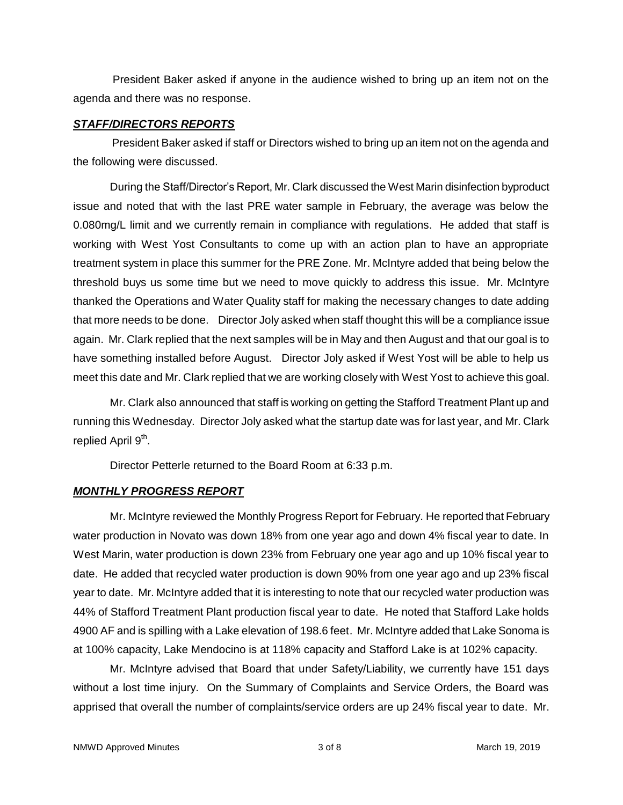President Baker asked if anyone in the audience wished to bring up an item not on the agenda and there was no response.

#### *STAFF/DIRECTORS REPORTS*

President Baker asked if staff or Directors wished to bring up an item not on the agenda and the following were discussed.

During the Staff/Director's Report, Mr. Clark discussed the West Marin disinfection byproduct issue and noted that with the last PRE water sample in February, the average was below the 0.080mg/L limit and we currently remain in compliance with regulations. He added that staff is working with West Yost Consultants to come up with an action plan to have an appropriate treatment system in place this summer for the PRE Zone. Mr. McIntyre added that being below the threshold buys us some time but we need to move quickly to address this issue. Mr. McIntyre thanked the Operations and Water Quality staff for making the necessary changes to date adding that more needs to be done. Director Joly asked when staff thought this will be a compliance issue again. Mr. Clark replied that the next samples will be in May and then August and that our goal is to have something installed before August. Director Joly asked if West Yost will be able to help us meet this date and Mr. Clark replied that we are working closely with West Yost to achieve this goal.

Mr. Clark also announced that staff is working on getting the Stafford Treatment Plant up and running this Wednesday. Director Joly asked what the startup date was for last year, and Mr. Clark replied April 9<sup>th</sup>.

Director Petterle returned to the Board Room at 6:33 p.m.

# *MONTHLY PROGRESS REPORT*

Mr. McIntyre reviewed the Monthly Progress Report for February. He reported that February water production in Novato was down 18% from one year ago and down 4% fiscal year to date. In West Marin, water production is down 23% from February one year ago and up 10% fiscal year to date. He added that recycled water production is down 90% from one year ago and up 23% fiscal year to date. Mr. McIntyre added that it is interesting to note that our recycled water production was 44% of Stafford Treatment Plant production fiscal year to date. He noted that Stafford Lake holds 4900 AF and is spilling with a Lake elevation of 198.6 feet. Mr. McIntyre added that Lake Sonoma is at 100% capacity, Lake Mendocino is at 118% capacity and Stafford Lake is at 102% capacity.

Mr. McIntyre advised that Board that under Safety/Liability, we currently have 151 days without a lost time injury. On the Summary of Complaints and Service Orders, the Board was apprised that overall the number of complaints/service orders are up 24% fiscal year to date. Mr.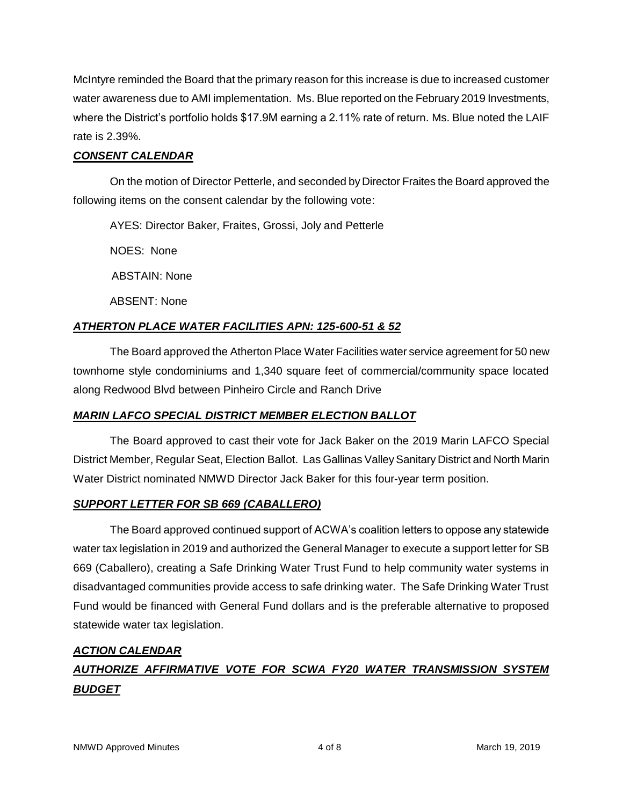McIntyre reminded the Board that the primary reason for this increase is due to increased customer water awareness due to AMI implementation. Ms. Blue reported on the February 2019 Investments, where the District's portfolio holds \$17.9M earning a 2.11% rate of return. Ms. Blue noted the LAIF rate is 2.39%.

# *CONSENT CALENDAR*

On the motion of Director Petterle, and seconded by Director Fraites the Board approved the following items on the consent calendar by the following vote:

AYES: Director Baker, Fraites, Grossi, Joly and Petterle

NOES: None

ABSTAIN: None

ABSENT: None

# *ATHERTON PLACE WATER FACILITIES APN: 125-600-51 & 52*

The Board approved the Atherton Place Water Facilities water service agreement for 50 new townhome style condominiums and 1,340 square feet of commercial/community space located along Redwood Blvd between Pinheiro Circle and Ranch Drive

# *MARIN LAFCO SPECIAL DISTRICT MEMBER ELECTION BALLOT*

The Board approved to cast their vote for Jack Baker on the 2019 Marin LAFCO Special District Member, Regular Seat, Election Ballot. Las Gallinas Valley Sanitary District and North Marin Water District nominated NMWD Director Jack Baker for this four-year term position.

# *SUPPORT LETTER FOR SB 669 (CABALLERO)*

The Board approved continued support of ACWA's coalition letters to oppose any statewide water tax legislation in 2019 and authorized the General Manager to execute a support letter for SB 669 (Caballero), creating a Safe Drinking Water Trust Fund to help community water systems in disadvantaged communities provide access to safe drinking water. The Safe Drinking Water Trust Fund would be financed with General Fund dollars and is the preferable alternative to proposed statewide water tax legislation.

# *ACTION CALENDAR*

# *AUTHORIZE AFFIRMATIVE VOTE FOR SCWA FY20 WATER TRANSMISSION SYSTEM BUDGET*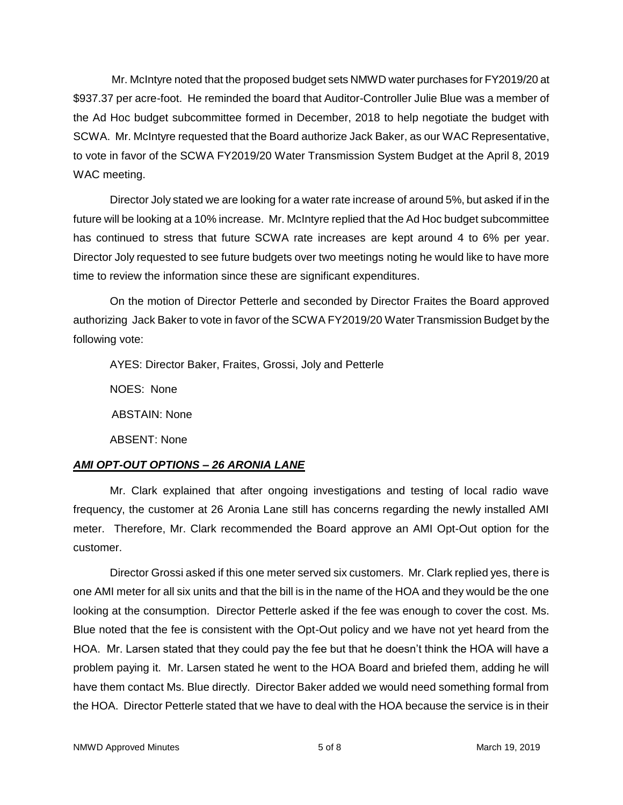Mr. McIntyre noted that the proposed budget sets NMWD water purchases for FY2019/20 at \$937.37 per acre-foot. He reminded the board that Auditor-Controller Julie Blue was a member of the Ad Hoc budget subcommittee formed in December, 2018 to help negotiate the budget with SCWA. Mr. McIntyre requested that the Board authorize Jack Baker, as our WAC Representative, to vote in favor of the SCWA FY2019/20 Water Transmission System Budget at the April 8, 2019 WAC meeting.

Director Joly stated we are looking for a water rate increase of around 5%, but asked if in the future will be looking at a 10% increase. Mr. McIntyre replied that the Ad Hoc budget subcommittee has continued to stress that future SCWA rate increases are kept around 4 to 6% per year. Director Joly requested to see future budgets over two meetings noting he would like to have more time to review the information since these are significant expenditures.

On the motion of Director Petterle and seconded by Director Fraites the Board approved authorizing Jack Baker to vote in favor of the SCWA FY2019/20 Water Transmission Budget by the following vote:

AYES: Director Baker, Fraites, Grossi, Joly and Petterle NOES: None ABSTAIN: None ABSENT: None

# *AMI OPT-OUT OPTIONS – 26 ARONIA LANE*

Mr. Clark explained that after ongoing investigations and testing of local radio wave frequency, the customer at 26 Aronia Lane still has concerns regarding the newly installed AMI meter. Therefore, Mr. Clark recommended the Board approve an AMI Opt-Out option for the customer.

Director Grossi asked if this one meter served six customers. Mr. Clark replied yes, there is one AMI meter for all six units and that the bill is in the name of the HOA and they would be the one looking at the consumption. Director Petterle asked if the fee was enough to cover the cost. Ms. Blue noted that the fee is consistent with the Opt-Out policy and we have not yet heard from the HOA. Mr. Larsen stated that they could pay the fee but that he doesn't think the HOA will have a problem paying it. Mr. Larsen stated he went to the HOA Board and briefed them, adding he will have them contact Ms. Blue directly. Director Baker added we would need something formal from the HOA. Director Petterle stated that we have to deal with the HOA because the service is in their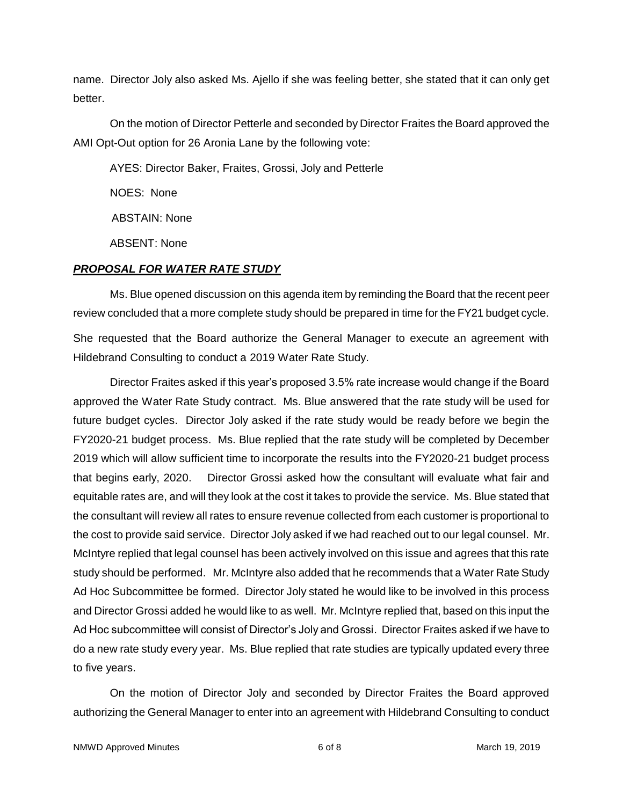name. Director Joly also asked Ms. Ajello if she was feeling better, she stated that it can only get better.

On the motion of Director Petterle and seconded by Director Fraites the Board approved the AMI Opt-Out option for 26 Aronia Lane by the following vote:

AYES: Director Baker, Fraites, Grossi, Joly and Petterle

NOES: None

ABSTAIN: None

ABSENT: None

### *PROPOSAL FOR WATER RATE STUDY*

Ms. Blue opened discussion on this agenda item by reminding the Board that the recent peer review concluded that a more complete study should be prepared in time for the FY21 budget cycle.

She requested that the Board authorize the General Manager to execute an agreement with Hildebrand Consulting to conduct a 2019 Water Rate Study.

Director Fraites asked if this year's proposed 3.5% rate increase would change if the Board approved the Water Rate Study contract. Ms. Blue answered that the rate study will be used for future budget cycles. Director Joly asked if the rate study would be ready before we begin the FY2020-21 budget process. Ms. Blue replied that the rate study will be completed by December 2019 which will allow sufficient time to incorporate the results into the FY2020-21 budget process that begins early, 2020. Director Grossi asked how the consultant will evaluate what fair and equitable rates are, and will they look at the cost it takes to provide the service. Ms. Blue stated that the consultant will review all rates to ensure revenue collected from each customer is proportional to the cost to provide said service. Director Joly asked if we had reached out to our legal counsel. Mr. McIntyre replied that legal counsel has been actively involved on this issue and agrees that this rate study should be performed. Mr. McIntyre also added that he recommends that a Water Rate Study Ad Hoc Subcommittee be formed. Director Joly stated he would like to be involved in this process and Director Grossi added he would like to as well. Mr. McIntyre replied that, based on this input the Ad Hoc subcommittee will consist of Director's Joly and Grossi. Director Fraites asked if we have to do a new rate study every year. Ms. Blue replied that rate studies are typically updated every three to five years.

On the motion of Director Joly and seconded by Director Fraites the Board approved authorizing the General Manager to enter into an agreement with Hildebrand Consulting to conduct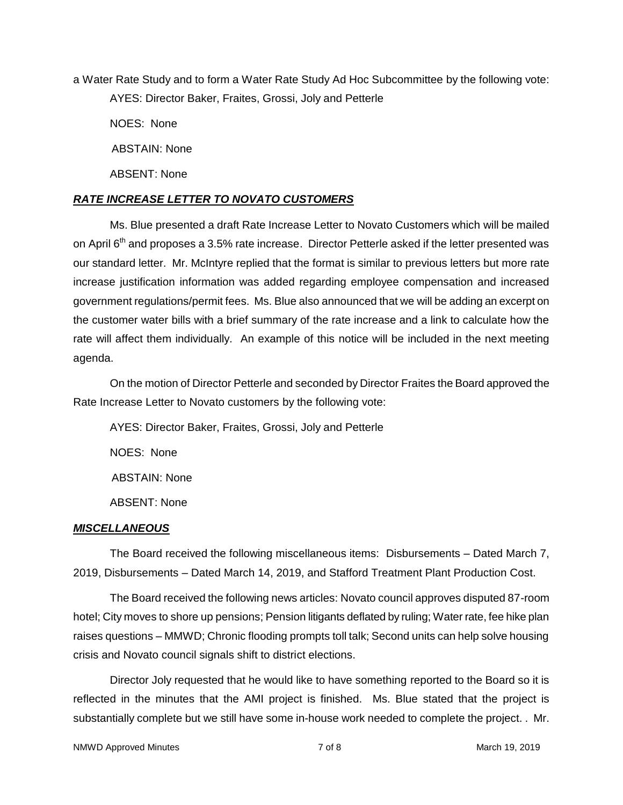a Water Rate Study and to form a Water Rate Study Ad Hoc Subcommittee by the following vote: AYES: Director Baker, Fraites, Grossi, Joly and Petterle

NOES: None

ABSTAIN: None

ABSENT: None

### *RATE INCREASE LETTER TO NOVATO CUSTOMERS*

Ms. Blue presented a draft Rate Increase Letter to Novato Customers which will be mailed on April  $6<sup>th</sup>$  and proposes a 3.5% rate increase. Director Petterle asked if the letter presented was our standard letter. Mr. McIntyre replied that the format is similar to previous letters but more rate increase justification information was added regarding employee compensation and increased government regulations/permit fees. Ms. Blue also announced that we will be adding an excerpt on the customer water bills with a brief summary of the rate increase and a link to calculate how the rate will affect them individually. An example of this notice will be included in the next meeting agenda.

On the motion of Director Petterle and seconded by Director Fraites the Board approved the Rate Increase Letter to Novato customers by the following vote:

AYES: Director Baker, Fraites, Grossi, Joly and Petterle NOES: None ABSTAIN: None ABSENT: None

### *MISCELLANEOUS*

The Board received the following miscellaneous items: Disbursements – Dated March 7, 2019, Disbursements – Dated March 14, 2019, and Stafford Treatment Plant Production Cost.

The Board received the following news articles: Novato council approves disputed 87-room hotel; City moves to shore up pensions; Pension litigants deflated by ruling; Water rate, fee hike plan raises questions – MMWD; Chronic flooding prompts toll talk; Second units can help solve housing crisis and Novato council signals shift to district elections.

Director Joly requested that he would like to have something reported to the Board so it is reflected in the minutes that the AMI project is finished. Ms. Blue stated that the project is substantially complete but we still have some in-house work needed to complete the project. . Mr.